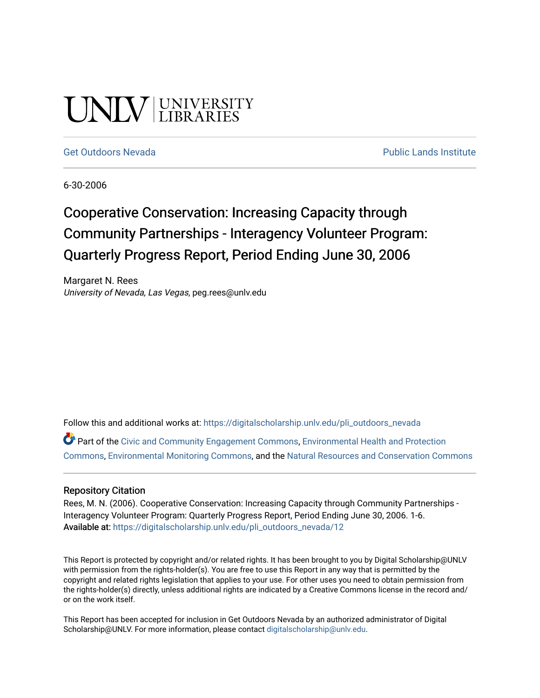# UNIV UNIVERSITY

#### [Get Outdoors Nevada](https://digitalscholarship.unlv.edu/pli_outdoors_nevada) **Public Lands Institute** Public Lands Institute

6-30-2006

# Cooperative Conservation: Increasing Capacity through Community Partnerships - Interagency Volunteer Program: Quarterly Progress Report, Period Ending June 30, 2006

Margaret N. Rees University of Nevada, Las Vegas, peg.rees@unlv.edu

Follow this and additional works at: [https://digitalscholarship.unlv.edu/pli\\_outdoors\\_nevada](https://digitalscholarship.unlv.edu/pli_outdoors_nevada?utm_source=digitalscholarship.unlv.edu%2Fpli_outdoors_nevada%2F12&utm_medium=PDF&utm_campaign=PDFCoverPages)

Part of the [Civic and Community Engagement Commons](http://network.bepress.com/hgg/discipline/1028?utm_source=digitalscholarship.unlv.edu%2Fpli_outdoors_nevada%2F12&utm_medium=PDF&utm_campaign=PDFCoverPages), [Environmental Health and Protection](http://network.bepress.com/hgg/discipline/172?utm_source=digitalscholarship.unlv.edu%2Fpli_outdoors_nevada%2F12&utm_medium=PDF&utm_campaign=PDFCoverPages)  [Commons](http://network.bepress.com/hgg/discipline/172?utm_source=digitalscholarship.unlv.edu%2Fpli_outdoors_nevada%2F12&utm_medium=PDF&utm_campaign=PDFCoverPages), [Environmental Monitoring Commons,](http://network.bepress.com/hgg/discipline/931?utm_source=digitalscholarship.unlv.edu%2Fpli_outdoors_nevada%2F12&utm_medium=PDF&utm_campaign=PDFCoverPages) and the [Natural Resources and Conservation Commons](http://network.bepress.com/hgg/discipline/168?utm_source=digitalscholarship.unlv.edu%2Fpli_outdoors_nevada%2F12&utm_medium=PDF&utm_campaign=PDFCoverPages)

#### Repository Citation

Rees, M. N. (2006). Cooperative Conservation: Increasing Capacity through Community Partnerships - Interagency Volunteer Program: Quarterly Progress Report, Period Ending June 30, 2006. 1-6. Available at: [https://digitalscholarship.unlv.edu/pli\\_outdoors\\_nevada/12](https://digitalscholarship.unlv.edu/pli_outdoors_nevada/12) 

This Report is protected by copyright and/or related rights. It has been brought to you by Digital Scholarship@UNLV with permission from the rights-holder(s). You are free to use this Report in any way that is permitted by the copyright and related rights legislation that applies to your use. For other uses you need to obtain permission from the rights-holder(s) directly, unless additional rights are indicated by a Creative Commons license in the record and/ or on the work itself.

This Report has been accepted for inclusion in Get Outdoors Nevada by an authorized administrator of Digital Scholarship@UNLV. For more information, please contact [digitalscholarship@unlv.edu.](mailto:digitalscholarship@unlv.edu)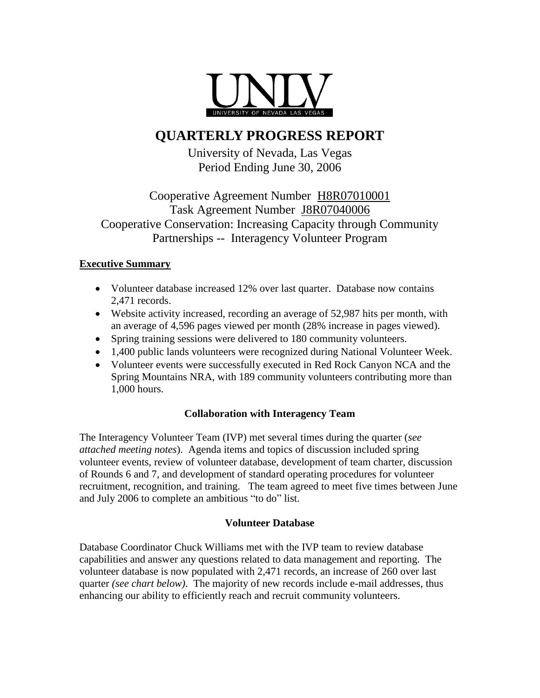

## **QUARTERLY PROGRESS REPORT**

University of Nevada, Las Vegas Period Ending June 30, 2006

### Cooperative Agreement Number H8R07010001 Task Agreement Number J8R07040006 Cooperative Conservation: Increasing Capacity through Community Partnerships -- Interagency Volunteer Program

#### **Executive Summary**

- Volunteer database increased 12% over last quarter. Database now contains 2,471 records.
- Website activity increased, recording an average of 52,987 hits per month, with an average of 4,596 pages viewed per month (28% increase in pages viewed).
- Spring training sessions were delivered to 180 community volunteers.
- 1,400 public lands volunteers were recognized during National Volunteer Week.
- Volunteer events were successfully executed in Red Rock Canyon NCA and the Spring Mountains NRA, with 189 community volunteers contributing more than 1,000 hours.

#### **Collaboration with Interagency Team**

The Interagency Volunteer Team (IVP) met several times during the quarter (*see attached meeting notes*). Agenda items and topics of discussion included spring volunteer events, review of volunteer database, development of team charter, discussion of Rounds 6 and 7, and development of standard operating procedures for volunteer recruitment, recognition, and training. The team agreed to meet five times between June and July 2006 to complete an ambitious "to do" list.

#### **Volunteer Database**

Database Coordinator Chuck Williams met with the IVP team to review database capabilities and answer any questions related to data management and reporting. The volunteer database is now populated with 2,471 records, an increase of 260 over last quarter *(see chart below)*. The majority of new records include e-mail addresses, thus enhancing our ability to efficiently reach and recruit community volunteers.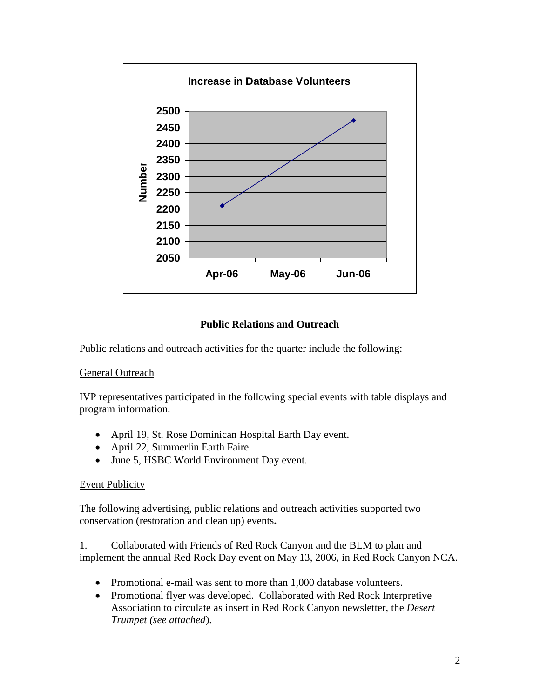

#### **Public Relations and Outreach**

Public relations and outreach activities for the quarter include the following:

#### **General Outreach**

IVP representatives participated in the following special events with table displays and program information.

- April 19, St. Rose Dominican Hospital Earth Day event.
- April 22, Summerlin Earth Faire.
- June 5, HSBC World Environment Day event.

#### Event Publicity

The following advertising, public relations and outreach activities supported two conservation (restoration and clean up) events**.**

1. Collaborated with Friends of Red Rock Canyon and the BLM to plan and implement the annual Red Rock Day event on May 13, 2006, in Red Rock Canyon NCA.

- Promotional e-mail was sent to more than 1,000 database volunteers.
- Promotional flyer was developed. Collaborated with Red Rock Interpretive Association to circulate as insert in Red Rock Canyon newsletter, the *Desert Trumpet (see attached*).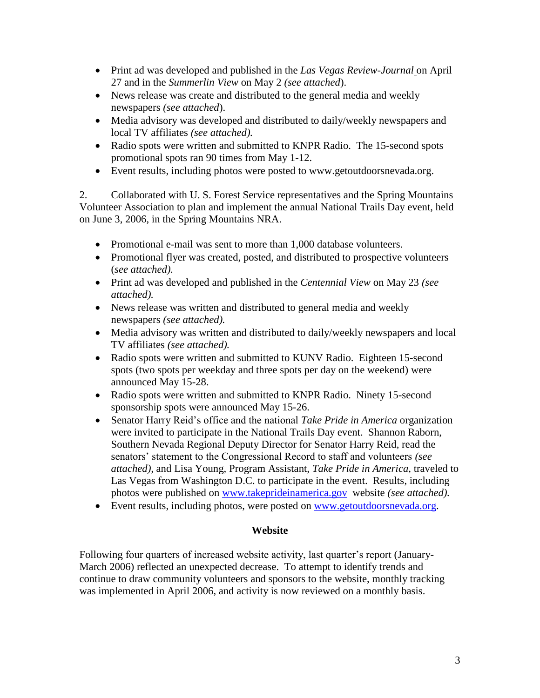- Print ad was developed and published in the *Las Vegas Review-Journal* on April 27 and in the *Summerlin View* on May 2 *(see attached*).
- News release was create and distributed to the general media and weekly newspapers *(see attached*).
- Media advisory was developed and distributed to daily/weekly newspapers and local TV affiliates *(see attached).*
- Radio spots were written and submitted to KNPR Radio. The 15-second spots promotional spots ran 90 times from May 1-12.
- Event results, including photos were posted to www.getoutdoorsnevada.org.

2. Collaborated with U. S. Forest Service representatives and the Spring Mountains Volunteer Association to plan and implement the annual National Trails Day event, held on June 3, 2006, in the Spring Mountains NRA.

- Promotional e-mail was sent to more than 1,000 database volunteers.
- Promotional flyer was created, posted, and distributed to prospective volunteers (*see attached).*
- Print ad was developed and published in the *Centennial View* on May 23 *(see attached).*
- News release was written and distributed to general media and weekly newspapers *(see attached).*
- Media advisory was written and distributed to daily/weekly newspapers and local TV affiliates *(see attached).*
- Radio spots were written and submitted to KUNV Radio. Eighteen 15-second spots (two spots per weekday and three spots per day on the weekend) were announced May 15-28.
- Radio spots were written and submitted to KNPR Radio. Ninety 15-second sponsorship spots were announced May 15-26.
- Senator Harry Reid's office and the national *Take Pride in America* organization were invited to participate in the National Trails Day event. Shannon Raborn, Southern Nevada Regional Deputy Director for Senator Harry Reid, read the senators' statement to the Congressional Record to staff and volunteers *(see attached),* and Lisa Young, Program Assistant, *Take Pride in America*, traveled to Las Vegas from Washington D.C. to participate in the event. Results, including photos were published on [www.takeprideinamerica.gov](http://www.takeprideinamerica.gov/) website *(see attached).*
- Event results, including photos, were posted on [www.getoutdoorsnevada.org.](http://www.getoutdoorsnevada.org/)

#### **Website**

Following four quarters of increased website activity, last quarter's report (January-March 2006) reflected an unexpected decrease. To attempt to identify trends and continue to draw community volunteers and sponsors to the website, monthly tracking was implemented in April 2006, and activity is now reviewed on a monthly basis.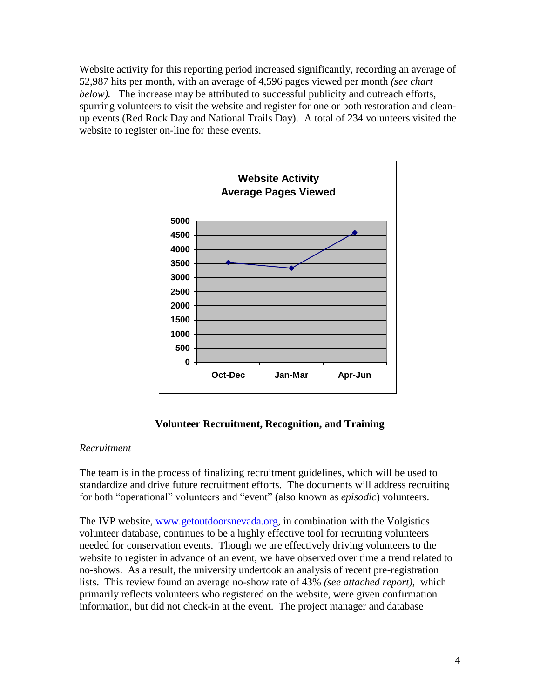Website activity for this reporting period increased significantly, recording an average of 52,987 hits per month, with an average of 4,596 pages viewed per month *(see chart below).* The increase may be attributed to successful publicity and outreach efforts, spurring volunteers to visit the website and register for one or both restoration and cleanup events (Red Rock Day and National Trails Day). A total of 234 volunteers visited the website to register on-line for these events.



#### **Volunteer Recruitment, Recognition, and Training**

#### *Recruitment*

The team is in the process of finalizing recruitment guidelines, which will be used to standardize and drive future recruitment efforts. The documents will address recruiting for both "operational" volunteers and "event" (also known as *episodic*) volunteers.

The IVP website, [www.getoutdoorsnevada.org,](http://www.getoutdoorsnevada.org/) in combination with the Volgistics volunteer database, continues to be a highly effective tool for recruiting volunteers needed for conservation events. Though we are effectively driving volunteers to the website to register in advance of an event, we have observed over time a trend related to no-shows. As a result, the university undertook an analysis of recent pre-registration lists. This review found an average no-show rate of 43% *(see attached report),* which primarily reflects volunteers who registered on the website, were given confirmation information, but did not check-in at the event. The project manager and database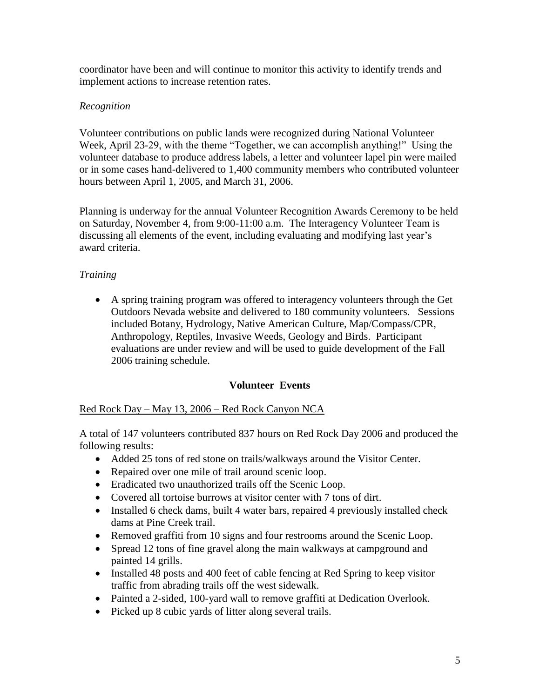coordinator have been and will continue to monitor this activity to identify trends and implement actions to increase retention rates.

#### *Recognition*

Volunteer contributions on public lands were recognized during National Volunteer Week, April 23-29, with the theme "Together, we can accomplish anything!" Using the volunteer database to produce address labels, a letter and volunteer lapel pin were mailed or in some cases hand-delivered to 1,400 community members who contributed volunteer hours between April 1, 2005, and March 31, 2006.

Planning is underway for the annual Volunteer Recognition Awards Ceremony to be held on Saturday, November 4, from 9:00-11:00 a.m. The Interagency Volunteer Team is discussing all elements of the event, including evaluating and modifying last year's award criteria.

#### *Training*

 A spring training program was offered to interagency volunteers through the Get Outdoors Nevada website and delivered to 180 community volunteers. Sessions included Botany, Hydrology, Native American Culture, Map/Compass/CPR, Anthropology, Reptiles, Invasive Weeds, Geology and Birds. Participant evaluations are under review and will be used to guide development of the Fall 2006 training schedule.

#### **Volunteer Events**

#### Red Rock Day – May 13, 2006 – Red Rock Canyon NCA

A total of 147 volunteers contributed 837 hours on Red Rock Day 2006 and produced the following results:

- Added 25 tons of red stone on trails/walkways around the Visitor Center.
- Repaired over one mile of trail around scenic loop.
- Eradicated two unauthorized trails off the Scenic Loop.
- Covered all tortoise burrows at visitor center with 7 tons of dirt.
- Installed 6 check dams, built 4 water bars, repaired 4 previously installed check dams at Pine Creek trail.
- Removed graffiti from 10 signs and four restrooms around the Scenic Loop.
- Spread 12 tons of fine gravel along the main walkways at campground and painted 14 grills.
- Installed 48 posts and 400 feet of cable fencing at Red Spring to keep visitor traffic from abrading trails off the west sidewalk.
- Painted a 2-sided, 100-yard wall to remove graffiti at Dedication Overlook.
- Picked up 8 cubic yards of litter along several trails.